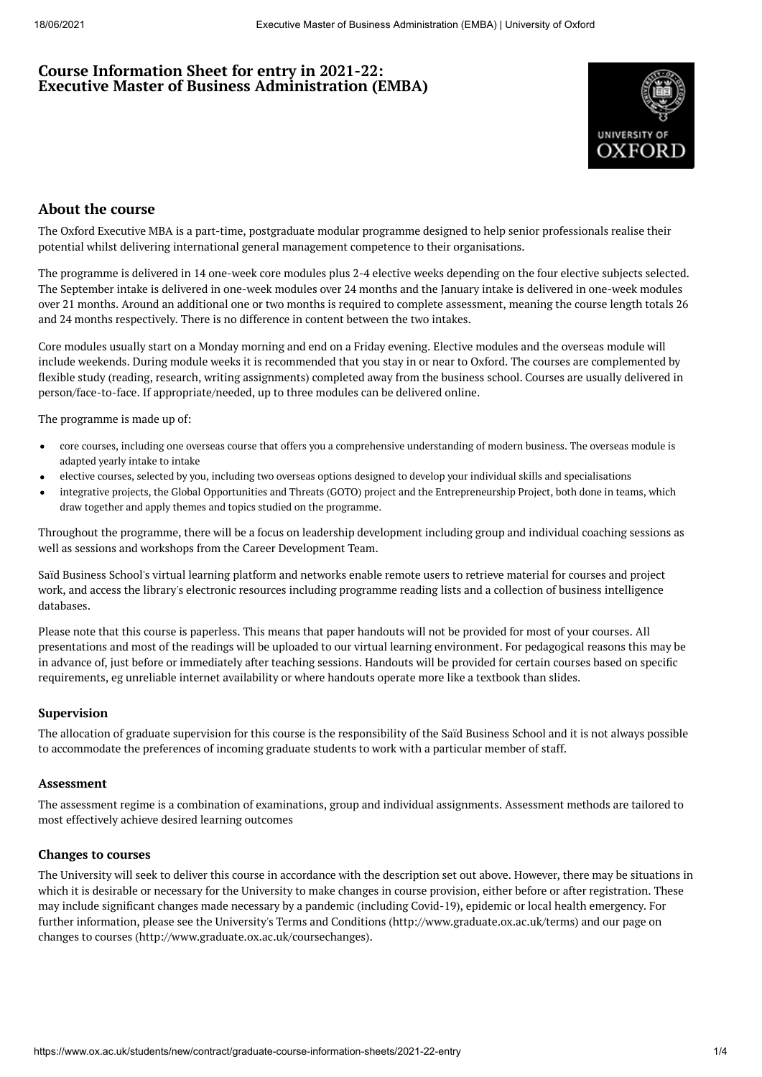# **Course Information Sheet for entry in 2021-22: Executive Master of Business Administration (EMBA)**



# **About the course**

The Oxford Executive MBA is a part-time, postgraduate modular programme designed to help senior professionals realise their potential whilst delivering international general management competence to their organisations.

The programme is delivered in 14 one-week core modules plus 2-4 elective weeks depending on the four elective subjects selected. The September intake is delivered in one-week modules over 24 months and the January intake is delivered in one-week modules over 21 months. Around an additional one or two months is required to complete assessment, meaning the course length totals 26 and 24 months respectively. There is no difference in content between the two intakes.

Core modules usually start on a Monday morning and end on a Friday evening. Elective modules and the overseas module will include weekends. During module weeks it is recommended that you stay in or near to Oxford. The courses are complemented by flexible study (reading, research, writing assignments) completed away from the business school. Courses are usually delivered in person/face-to-face. If appropriate/needed, up to three modules can be delivered online.

The programme is made up of:

- core courses, including one overseas course that offers you a comprehensive understanding of modern business. The overseas module is adapted yearly intake to intake
- elective courses, selected by you, including two overseas options designed to develop your individual skills and specialisations
- integrative projects, the Global Opportunities and Threats (GOTO) project and the Entrepreneurship Project, both done in teams, which draw together and apply themes and topics studied on the programme.

Throughout the programme, there will be a focus on leadership development including group and individual coaching sessions as well as sessions and workshops from the Career Development Team.

Saïd Business School's virtual learning platform and networks enable remote users to retrieve material for courses and project work, and access the library's electronic resources including programme reading lists and a collection of business intelligence databases.

Please note that this course is paperless. This means that paper handouts will not be provided for most of your courses. All presentations and most of the readings will be uploaded to our virtual learning environment. For pedagogical reasons this may be in advance of, just before or immediately after teaching sessions. Handouts will be provided for certain courses based on specific requirements, eg unreliable internet availability or where handouts operate more like a textbook than slides.

## **Supervision**

The allocation of graduate supervision for this course is the responsibility of the Saïd Business School and it is not always possible to accommodate the preferences of incoming graduate students to work with a particular member of staff.

#### **Assessment**

The assessment regime is a combination of examinations, group and individual assignments. Assessment methods are tailored to most effectively achieve desired learning outcomes

#### **Changes to courses**

The University will seek to deliver this course in accordance with the description set out above. However, there may be situations in which it is desirable or necessary for the University to make changes in course provision, either before or after registration. These may include significant changes made necessary by a pandemic (including Covid-19), epidemic or local health emergency. For further information, please see the University's Terms and Conditions (http://www.graduate.ox.ac.uk/terms) and our page on changes to courses (http://www.graduate.ox.ac.uk/coursechanges).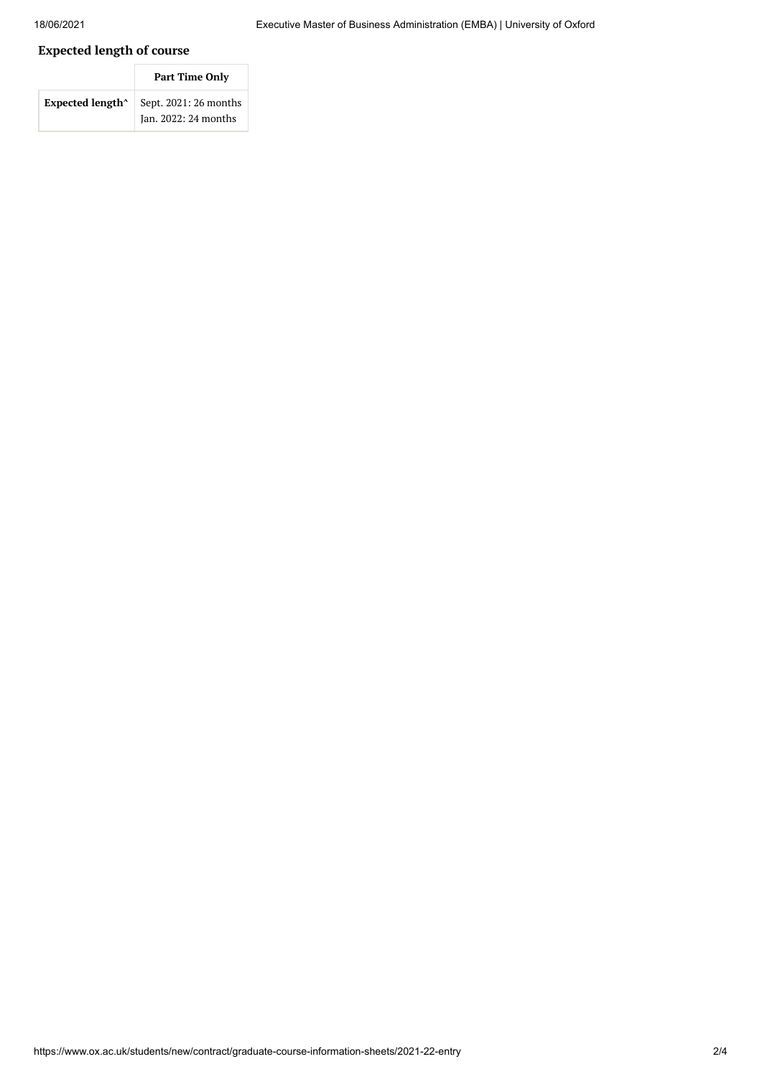# **Expected length of course**

|                              | <b>Part Time Only</b>                         |  |  |
|------------------------------|-----------------------------------------------|--|--|
| Expected length <sup>^</sup> | Sept. 2021: 26 months<br>Jan. 2022: 24 months |  |  |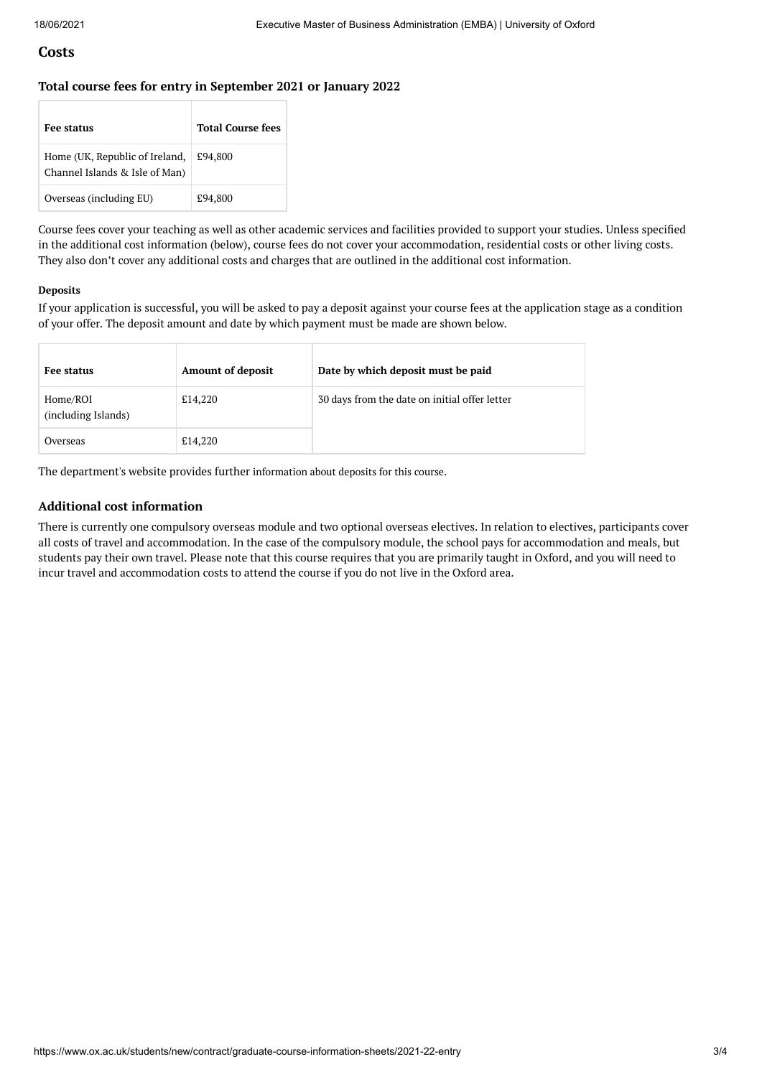## **Costs**

#### **Total course fees for entry in September 2021 or January 2022**

| <b>Fee status</b>                                                | <b>Total Course fees</b> |
|------------------------------------------------------------------|--------------------------|
| Home (UK, Republic of Ireland,<br>Channel Islands & Isle of Man) | £94,800                  |
| Overseas (including EU)                                          | £94,800                  |

Course fees cover your teaching as well as other academic services and facilities provided to support your studies. Unless specified in the additional cost information (below), course fees do not cover your accommodation, residential costs or other living costs. They also don't cover any additional costs and charges that are outlined in the additional cost information.

#### **Deposits**

If your application is successful, you will be asked to pay a deposit against your course fees at the application stage as a condition of your offer. The deposit amount and date by which payment must be made are shown below.

| Fee status                      | <b>Amount of deposit</b> | Date by which deposit must be paid            |
|---------------------------------|--------------------------|-----------------------------------------------|
| Home/ROI<br>(including Islands) | £14,220                  | 30 days from the date on initial offer letter |
| Overseas                        | £14,220                  |                                               |

The department's website provides further [information](https://www.sbs.ox.ac.uk/programmes/degrees/emba/fees-funding) about deposits for this course.

### **Additional cost information**

There is currently one compulsory overseas module and two optional overseas electives. In relation to electives, participants cover all costs of travel and accommodation. In the case of the compulsory module, the school pays for accommodation and meals, but students pay their own travel. Please note that this course requires that you are primarily taught in Oxford, and you will need to incur travel and accommodation costs to attend the course if you do not live in the Oxford area.